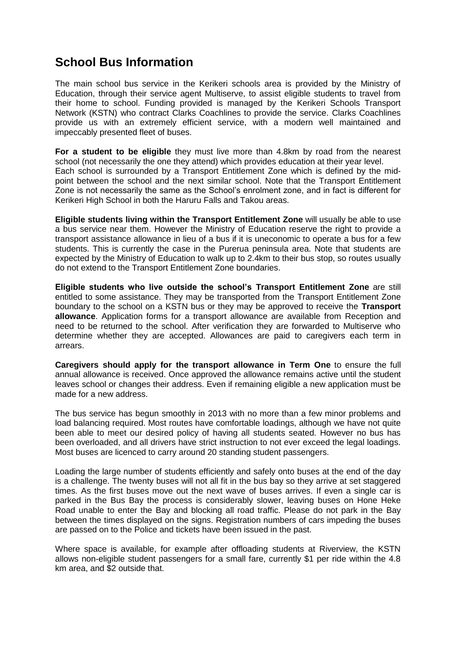## **School Bus Information**

The main school bus service in the Kerikeri schools area is provided by the Ministry of Education, through their service agent Multiserve, to assist eligible students to travel from their home to school. Funding provided is managed by the Kerikeri Schools Transport Network (KSTN) who contract Clarks Coachlines to provide the service. Clarks Coachlines provide us with an extremely efficient service, with a modern well maintained and impeccably presented fleet of buses.

**For a student to be eligible** they must live more than 4.8km by road from the nearest school (not necessarily the one they attend) which provides education at their year level. Each school is surrounded by a Transport Entitlement Zone which is defined by the midpoint between the school and the next similar school. Note that the Transport Entitlement Zone is not necessarily the same as the School's enrolment zone, and in fact is different for Kerikeri High School in both the Haruru Falls and Takou areas.

**Eligible students living within the Transport Entitlement Zone** will usually be able to use a bus service near them. However the Ministry of Education reserve the right to provide a transport assistance allowance in lieu of a bus if it is uneconomic to operate a bus for a few students. This is currently the case in the Purerua peninsula area. Note that students are expected by the Ministry of Education to walk up to 2.4km to their bus stop, so routes usually do not extend to the Transport Entitlement Zone boundaries.

**Eligible students who live outside the school's Transport Entitlement Zone** are still entitled to some assistance. They may be transported from the Transport Entitlement Zone boundary to the school on a KSTN bus or they may be approved to receive the **Transport allowance**. Application forms for a transport allowance are available from Reception and need to be returned to the school. After verification they are forwarded to Multiserve who determine whether they are accepted. Allowances are paid to caregivers each term in arrears.

**Caregivers should apply for the transport allowance in Term One** to ensure the full annual allowance is received. Once approved the allowance remains active until the student leaves school or changes their address. Even if remaining eligible a new application must be made for a new address.

The bus service has begun smoothly in 2013 with no more than a few minor problems and load balancing required. Most routes have comfortable loadings, although we have not quite been able to meet our desired policy of having all students seated. However no bus has been overloaded, and all drivers have strict instruction to not ever exceed the legal loadings. Most buses are licenced to carry around 20 standing student passengers.

Loading the large number of students efficiently and safely onto buses at the end of the day is a challenge. The twenty buses will not all fit in the bus bay so they arrive at set staggered times. As the first buses move out the next wave of buses arrives. If even a single car is parked in the Bus Bay the process is considerably slower, leaving buses on Hone Heke Road unable to enter the Bay and blocking all road traffic. Please do not park in the Bay between the times displayed on the signs. Registration numbers of cars impeding the buses are passed on to the Police and tickets have been issued in the past.

Where space is available, for example after offloading students at Riverview, the KSTN allows non-eligible student passengers for a small fare, currently \$1 per ride within the 4.8 km area, and \$2 outside that.